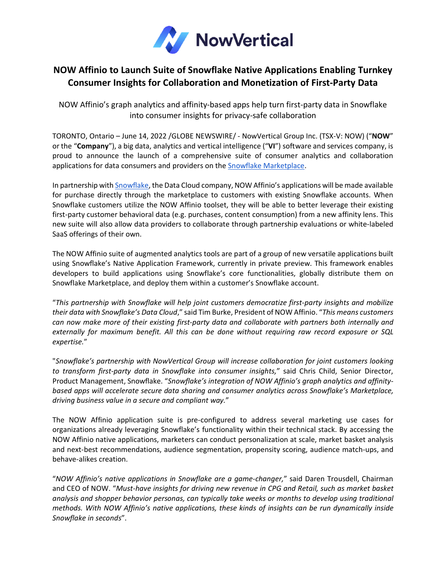

## **NOW Affinio to Launch Suite of Snowflake Native Applications Enabling Turnkey Consumer Insights for Collaboration and Monetization of First-Party Data**

NOW Affinio's graph analytics and affinity-based apps help turn first-party data in Snowflake into consumer insights for privacy-safe collaboration

TORONTO, Ontario – June 14, 2022 /GLOBE NEWSWIRE/ - NowVertical Group Inc. (TSX-V: NOW) ("**NOW**" or the "**Company**"), a big data, analytics and vertical intelligence ("**VI**") software and services company, is proud to announce the launch of a comprehensive suite of consumer analytics and collaboration applications for data consumers and providers on the Snowflake [Marketplace.](https://www.snowflake.com/data-marketplace/)

In partnership with [Snowflake,](https://www.snowflake.com/) the Data Cloud company, NOW Affinio's applications will be made available for purchase directly through the marketplace to customers with existing Snowflake accounts. When Snowflake customers utilize the NOW Affinio toolset, they will be able to better leverage their existing first-party customer behavioral data (e.g. purchases, content consumption) from a new affinity lens. This new suite will also allow data providers to collaborate through partnership evaluations or white-labeled SaaS offerings of their own.

The NOW Affinio suite of augmented analytics tools are part of a group of new versatile applications built using Snowflake's Native Application Framework, currently in private preview. This framework enables developers to build applications using Snowflake's core functionalities, globally distribute them on Snowflake Marketplace, and deploy them within a customer's Snowflake account.

"*This partnership with Snowflake will help joint customers democratize first-party insights and mobilize their data with Snowflake's Data Cloud*," said Tim Burke, President of NOW Affinio. "*This means customers can now make more of their existing first-party data and collaborate with partners both internally and externally for maximum benefit. All this can be done without requiring raw record exposure or SQL expertise.*"

"*Snowflake's partnership with NowVertical Group will increase collaboration for joint customers looking to transform first-party data in Snowflake into consumer insights,*" said Chris Child, Senior Director, Product Management, Snowflake. "*Snowflake's integration of NOW Affinio's graph analytics and affinitybased apps will accelerate secure data sharing and consumer analytics across Snowflake's Marketplace, driving business value in a secure and compliant way.*"

The NOW Affinio application suite is pre-configured to address several marketing use cases for organizations already leveraging Snowflake's functionality within their technical stack. By accessing the NOW Affinio native applications, marketers can conduct personalization at scale, market basket analysis and next-best recommendations, audience segmentation, propensity scoring, audience match-ups, and behave-alikes creation.

"*NOW Affinio's native applications in Snowflake are a game-changer,*" said Daren Trousdell, Chairman and CEO of NOW. "*Must-have insights for driving new revenue in CPG and Retail, such as market basket analysis and shopper behavior personas, can typically take weeks or months to develop using traditional methods. With NOW Affinio's native applications, these kinds of insights can be run dynamically inside Snowflake in seconds*".